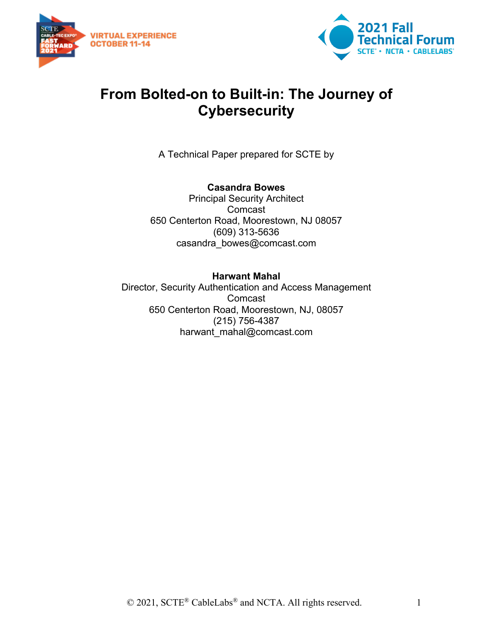



## **From Bolted-on to Built-in: The Journey of Cybersecurity**

A Technical Paper prepared for SCTE by

#### **Casandra Bowes**

Principal Security Architect Comcast 650 Centerton Road, Moorestown, NJ 08057 (609) 313-5636 casandra\_bowes@comcast.com

#### **Harwant Mahal**

Director, Security Authentication and Access Management Comcast 650 Centerton Road, Moorestown, NJ, 08057 (215) 756-4387 harwant\_mahal@comcast.com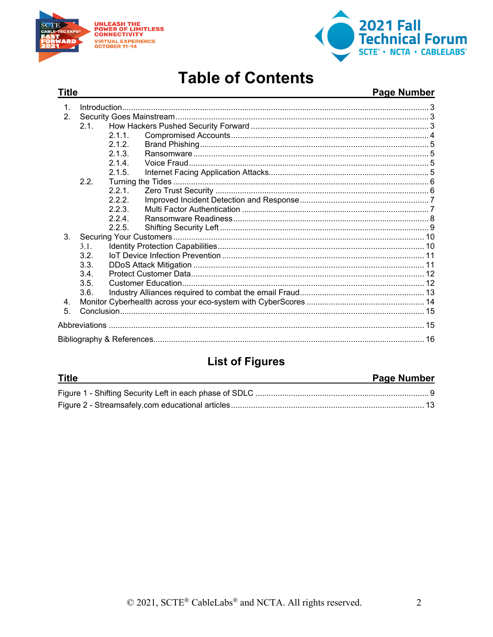

**Title** 



# **Table of Contents**

#### Page Number

| 21      |                              |  |  |
|---------|------------------------------|--|--|
|         | 2.1.1                        |  |  |
|         | 2.1.2.                       |  |  |
|         | 213                          |  |  |
|         | 214                          |  |  |
|         | 2.1.5.                       |  |  |
| 2.2.    |                              |  |  |
|         | 2.2.1                        |  |  |
|         | 222                          |  |  |
|         | 223                          |  |  |
|         | 224                          |  |  |
|         | 2.2.5                        |  |  |
| $3_{-}$ |                              |  |  |
| 3.1.    |                              |  |  |
| 3.2.    |                              |  |  |
|         |                              |  |  |
|         |                              |  |  |
|         |                              |  |  |
|         |                              |  |  |
|         |                              |  |  |
|         |                              |  |  |
|         |                              |  |  |
|         |                              |  |  |
|         | 3.3.<br>3.4.<br>3.5.<br>3.6. |  |  |

## **List of Figures**

| <b>Title</b> | <b>Page Number</b> |
|--------------|--------------------|
|              |                    |
|              |                    |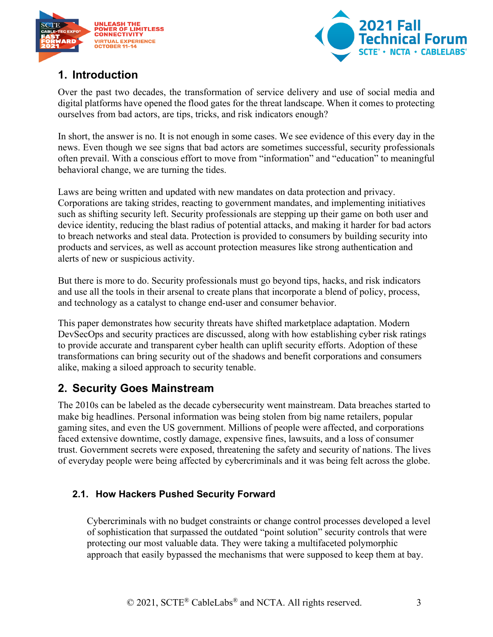



## <span id="page-2-0"></span>**1. Introduction**

Over the past two decades, the transformation of service delivery and use of social media and digital platforms have opened the flood gates for the threat landscape. When it comes to protecting ourselves from bad actors, are tips, tricks, and risk indicators enough?

In short, the answer is no. It is not enough in some cases. We see evidence of this every day in the news. Even though we see signs that bad actors are sometimes successful, security professionals often prevail. With a conscious effort to move from "information" and "education" to meaningful behavioral change, we are turning the tides.

Laws are being written and updated with new mandates on data protection and privacy. Corporations are taking strides, reacting to government mandates, and implementing initiatives such as shifting security left. Security professionals are stepping up their game on both user and device identity, reducing the blast radius of potential attacks, and making it harder for bad actors to breach networks and steal data. Protection is provided to consumers by building security into products and services, as well as account protection measures like strong authentication and alerts of new or suspicious activity.

But there is more to do. Security professionals must go beyond tips, hacks, and risk indicators and use all the tools in their arsenal to create plans that incorporate a blend of policy, process, and technology as a catalyst to change end-user and consumer behavior.

This paper demonstrates how security threats have shifted marketplace adaptation. Modern DevSecOps and security practices are discussed, along with how establishing cyber risk ratings to provide accurate and transparent cyber health can uplift security efforts. Adoption of these transformations can bring security out of the shadows and benefit corporations and consumers alike, making a siloed approach to security tenable.

## <span id="page-2-1"></span>**2. Security Goes Mainstream**

The 2010s can be labeled as the decade cybersecurity went mainstream. Data breaches started to make big headlines. Personal information was being stolen from big name retailers, popular gaming sites, and even the US government. Millions of people were affected, and corporations faced extensive downtime, costly damage, expensive fines, lawsuits, and a loss of consumer trust. Government secrets were exposed, threatening the safety and security of nations. The lives of everyday people were being affected by cybercriminals and it was being felt across the globe.

#### <span id="page-2-2"></span>**2.1. How Hackers Pushed Security Forward**

Cybercriminals with no budget constraints or change control processes developed a level of sophistication that surpassed the outdated "point solution" security controls that were protecting our most valuable data. They were taking a multifaceted polymorphic approach that easily bypassed the mechanisms that were supposed to keep them at bay.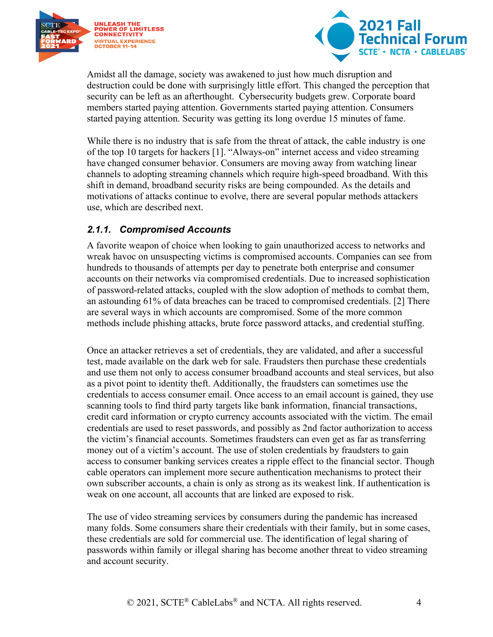



Amidst all the damage, society was awakened to just how much disruption and destruction could be done with surprisingly little effort. This changed the perception that security can be left as an afterthought. Cybersecurity budgets grew. Corporate board members started paying attention. Governments started paying attention. Consumers started paying attention. Security was getting its long overdue 15 minutes of fame.

While there is no industry that is safe from the threat of attack, the cable industry is one of the top 10 targets for hackers [1]. "Always-on" internet access and video streaming have changed consumer behavior. Consumers are moving away from watching linear channels to adopting streaming channels which require high-speed broadband. With this shift in demand, broadband security risks are being compounded. As the details and motivations of attacks continue to evolve, there are several popular methods attackers use, which are described next.

#### <span id="page-3-0"></span>*2.1.1. Compromised Accounts*

A favorite weapon of choice when looking to gain unauthorized access to networks and wreak havoc on unsuspecting victims is compromised accounts. Companies can see from hundreds to thousands of attempts per day to penetrate both enterprise and consumer accounts on their networks via compromised credentials. Due to increased sophistication of password-related attacks, coupled with the slow adoption of methods to combat them, an astounding 61% of data breaches can be traced to compromised credentials. [2] There are several ways in which accounts are compromised. Some of the more common methods include phishing attacks, brute force password attacks, and credential stuffing.

Once an attacker retrieves a set of credentials, they are validated, and after a successful test, made available on the dark web for sale. Fraudsters then purchase these credentials and use them not only to access consumer broadband accounts and steal services, but also as a pivot point to identity theft. Additionally, the fraudsters can sometimes use the credentials to access consumer email. Once access to an email account is gained, they use scanning tools to find third party targets like bank information, financial transactions, credit card information or crypto currency accounts associated with the victim. The email credentials are used to reset passwords, and possibly as 2nd factor authorization to access the victim's financial accounts. Sometimes fraudsters can even get as far as transferring money out of a victim's account. The use of stolen credentials by fraudsters to gain access to consumer banking services creates a ripple effect to the financial sector. Though cable operators can implement more secure authentication mechanisms to protect their own subscriber accounts, a chain is only as strong as its weakest link. If authentication is weak on one account, all accounts that are linked are exposed to risk.

The use of video streaming services by consumers during the pandemic has increased many folds. Some consumers share their credentials with their family, but in some cases, these credentials are sold for commercial use. The identification of legal sharing of passwords within family or illegal sharing has become another threat to video streaming and account security.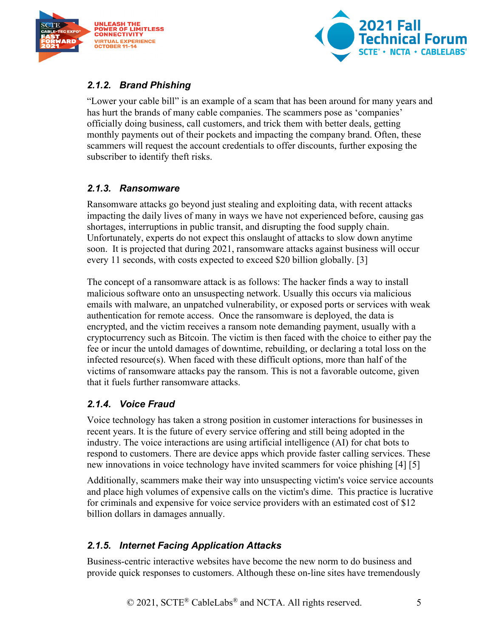



#### <span id="page-4-0"></span>*2.1.2. Brand Phishing*

"Lower your cable bill" is an example of a scam that has been around for many years and has hurt the brands of many cable companies. The scammers pose as 'companies' officially doing business, call customers, and trick them with better deals, getting monthly payments out of their pockets and impacting the company brand. Often, these scammers will request the account credentials to offer discounts, further exposing the subscriber to identify theft risks.

#### <span id="page-4-1"></span>*2.1.3. Ransomware*

Ransomware attacks go beyond just stealing and exploiting data, with recent attacks impacting the daily lives of many in ways we have not experienced before, causing gas shortages, interruptions in public transit, and disrupting the food supply chain. Unfortunately, experts do not expect this onslaught of attacks to slow down anytime soon. It is projected that during 2021, ransomware attacks against business will occur every 11 seconds, with costs expected to exceed \$20 billion globally. [3]

The concept of a ransomware attack is as follows: The hacker finds a way to install malicious software onto an unsuspecting network. Usually this occurs via malicious emails with malware, an unpatched vulnerability, or exposed ports or services with weak authentication for remote access. Once the ransomware is deployed, the data is encrypted, and the victim receives a ransom note demanding payment, usually with a cryptocurrency such as Bitcoin. The victim is then faced with the choice to either pay the fee or incur the untold damages of downtime, rebuilding, or declaring a total loss on the infected resource $(s)$ . When faced with these difficult options, more than half of the victims of ransomware attacks pay the ransom. This is not a favorable outcome, given that it fuels further ransomware attacks.

#### <span id="page-4-2"></span>*2.1.4. Voice Fraud*

Voice technology has taken a strong position in customer interactions for businesses in recent years. It is the future of every service offering and still being adopted in the industry. The voice interactions are using artificial intelligence (AI) for chat bots to respond to customers. There are device apps which provide faster calling services. These new innovations in voice technology have invited scammers for voice phishing [4] [5]

Additionally, scammers make their way into unsuspecting victim's voice service accounts and place high volumes of expensive calls on the victim's dime. This practice is lucrative for criminals and expensive for voice service providers with an estimated cost of \$12 billion dollars in damages annually.

#### <span id="page-4-3"></span>*2.1.5. Internet Facing Application Attacks*

Business-centric interactive websites have become the new norm to do business and provide quick responses to customers. Although these on-line sites have tremendously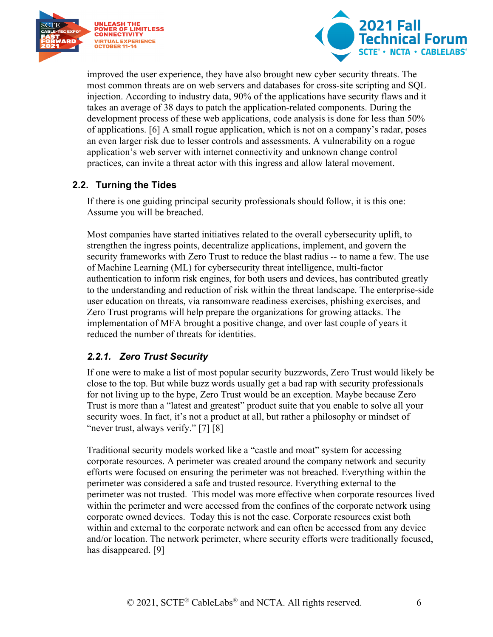



improved the user experience, they have also brought new cyber security threats. The most common threats are on web servers and databases for cross-site scripting and SQL injection. According to industry data, 90% of the applications have security flaws and it takes an average of 38 days to patch the application-related components. During the development process of these web applications, code analysis is done for less than 50% of applications. [6] A small rogue application, which is not on a company's radar, poses an even larger risk due to lesser controls and assessments. A vulnerability on a rogue application's web server with internet connectivity and unknown change control practices, can invite a threat actor with this ingress and allow lateral movement.

#### <span id="page-5-0"></span>**2.2. Turning the Tides**

If there is one guiding principal security professionals should follow, it is this one: Assume you will be breached.

Most companies have started initiatives related to the overall cybersecurity uplift, to strengthen the ingress points, decentralize applications, implement, and govern the security frameworks with Zero Trust to reduce the blast radius -- to name a few. The use of Machine Learning (ML) for cybersecurity threat intelligence, multi-factor authentication to inform risk engines, for both users and devices, has contributed greatly to the understanding and reduction of risk within the threat landscape. The enterprise-side user education on threats, via ransomware readiness exercises, phishing exercises, and Zero Trust programs will help prepare the organizations for growing attacks. The implementation of MFA brought a positive change, and over last couple of years it reduced the number of threats for identities.

#### <span id="page-5-1"></span>*2.2.1. Zero Trust Security*

If one were to make a list of most popular security buzzwords, Zero Trust would likely be close to the top. But while buzz words usually get a bad rap with security professionals for not living up to the hype, Zero Trust would be an exception. Maybe because Zero Trust is more than a "latest and greatest" product suite that you enable to solve all your security woes. In fact, it's not a product at all, but rather a philosophy or mindset of "never trust, always verify." [7] [8]

Traditional security models worked like a "castle and moat" system for accessing corporate resources. A perimeter was created around the company network and security efforts were focused on ensuring the perimeter was not breached. Everything within the perimeter was considered a safe and trusted resource. Everything external to the perimeter was not trusted. This model was more effective when corporate resources lived within the perimeter and were accessed from the confines of the corporate network using corporate owned devices. Today this is not the case. Corporate resources exist both within and external to the corporate network and can often be accessed from any device and/or location. The network perimeter, where security efforts were traditionally focused, has disappeared. [9]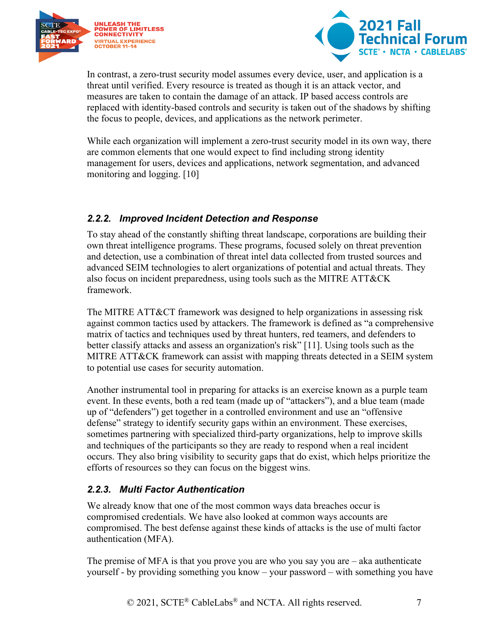



In contrast, a zero-trust security model assumes every device, user, and application is a threat until verified. Every resource is treated as though it is an attack vector, and measures are taken to contain the damage of an attack. IP based access controls are replaced with identity-based controls and security is taken out of the shadows by shifting the focus to people, devices, and applications as the network perimeter.

While each organization will implement a zero-trust security model in its own way, there are common elements that one would expect to find including strong identity management for users, devices and applications, network segmentation, and advanced monitoring and logging. [10]

#### <span id="page-6-0"></span>*2.2.2. Improved Incident Detection and Response*

To stay ahead of the constantly shifting threat landscape, corporations are building their own threat intelligence programs. These programs, focused solely on threat prevention and detection, use a combination of threat intel data collected from trusted sources and advanced SEIM technologies to alert organizations of potential and actual threats. They also focus on incident preparedness, using tools such as the MITRE ATT&CK framework.

The MITRE ATT&CT framework was designed to help organizations in assessing risk against common tactics used by attackers. The framework is defined as "a comprehensive matrix of tactics and techniques used by threat hunters, red teamers, and defenders to better classify attacks and assess an organization's risk" [11]. Using tools such as the MITRE ATT&CK framework can assist with mapping threats detected in a SEIM system to potential use cases for security automation.

Another instrumental tool in preparing for attacks is an exercise known as a purple team event. In these events, both a red team (made up of "attackers"), and a blue team (made up of "defenders") get together in a controlled environment and use an "offensive defense" strategy to identify security gaps within an environment. These exercises, sometimes partnering with specialized third-party organizations, help to improve skills and techniques of the participants so they are ready to respond when a real incident occurs. They also bring visibility to security gaps that do exist, which helps prioritize the efforts of resources so they can focus on the biggest wins.

#### <span id="page-6-1"></span>*2.2.3. Multi Factor Authentication*

We already know that one of the most common ways data breaches occur is compromised credentials. We have also looked at common ways accounts are compromised. The best defense against these kinds of attacks is the use of multi factor authentication (MFA).

The premise of MFA is that you prove you are who you say you are – aka authenticate yourself - by providing something you know – your password – with something you have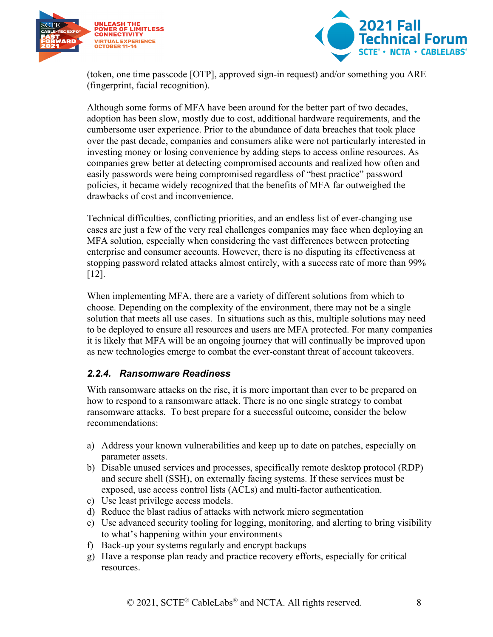



(token, one time passcode [OTP], approved sign-in request) and/or something you ARE (fingerprint, facial recognition).

Although some forms of MFA have been around for the better part of two decades, adoption has been slow, mostly due to cost, additional hardware requirements, and the cumbersome user experience. Prior to the abundance of data breaches that took place over the past decade, companies and consumers alike were not particularly interested in investing money or losing convenience by adding steps to access online resources. As companies grew better at detecting compromised accounts and realized how often and easily passwords were being compromised regardless of "best practice" password policies, it became widely recognized that the benefits of MFA far outweighed the drawbacks of cost and inconvenience.

Technical difficulties, conflicting priorities, and an endless list of ever-changing use cases are just a few of the very real challenges companies may face when deploying an MFA solution, especially when considering the vast differences between protecting enterprise and consumer accounts. However, there is no disputing its effectiveness at stopping password related attacks almost entirely, with a success rate of more than 99% [12].

When implementing MFA, there are a variety of different solutions from which to choose. Depending on the complexity of the environment, there may not be a single solution that meets all use cases. In situations such as this, multiple solutions may need to be deployed to ensure all resources and users are MFA protected. For many companies it is likely that MFA will be an ongoing journey that will continually be improved upon as new technologies emerge to combat the ever-constant threat of account takeovers.

#### <span id="page-7-0"></span>*2.2.4. Ransomware Readiness*

With ransomware attacks on the rise, it is more important than ever to be prepared on how to respond to a ransomware attack. There is no one single strategy to combat ransomware attacks. To best prepare for a successful outcome, consider the below recommendations:

- a) Address your known vulnerabilities and keep up to date on patches, especially on parameter assets.
- b) Disable unused services and processes, specifically remote desktop protocol (RDP) and secure shell (SSH), on externally facing systems. If these services must be exposed, use access control lists (ACLs) and multi-factor authentication.
- c) Use least privilege access models.
- d) Reduce the blast radius of attacks with network micro segmentation
- e) Use advanced security tooling for logging, monitoring, and alerting to bring visibility to what's happening within your environments
- f) Back-up your systems regularly and encrypt backups
- g) Have a response plan ready and practice recovery efforts, especially for critical resources.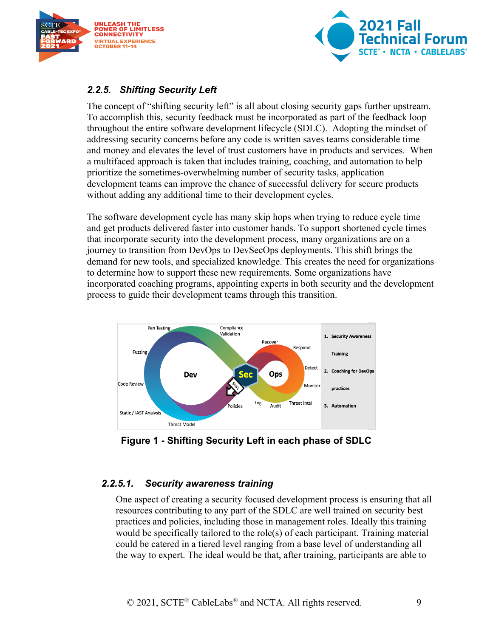



#### <span id="page-8-0"></span>*2.2.5. Shifting Security Left*

The concept of "shifting security left" is all about closing security gaps further upstream. To accomplish this, security feedback must be incorporated as part of the feedback loop throughout the entire software development lifecycle (SDLC). Adopting the mindset of addressing security concerns before any code is written saves teams considerable time and money and elevates the level of trust customers have in products and services. When a multifaced approach is taken that includes training, coaching, and automation to help prioritize the sometimes-overwhelming number of security tasks, application development teams can improve the chance of successful delivery for secure products without adding any additional time to their development cycles.

The software development cycle has many skip hops when trying to reduce cycle time and get products delivered faster into customer hands. To support shortened cycle times that incorporate security into the development process, many organizations are on a journey to transition from DevOps to DevSecOps deployments. This shift brings the demand for new tools, and specialized knowledge. This creates the need for organizations to determine how to support these new requirements. Some organizations have incorporated coaching programs, appointing experts in both security and the development process to guide their development teams through this transition.



<span id="page-8-1"></span>**Figure 1 - Shifting Security Left in each phase of SDLC**

#### *2.2.5.1. Security awareness training*

One aspect of creating a security focused development process is ensuring that all resources contributing to any part of the SDLC are well trained on security best practices and policies, including those in management roles. Ideally this training would be specifically tailored to the role(s) of each participant. Training material could be catered in a tiered level ranging from a base level of understanding all the way to expert. The ideal would be that, after training, participants are able to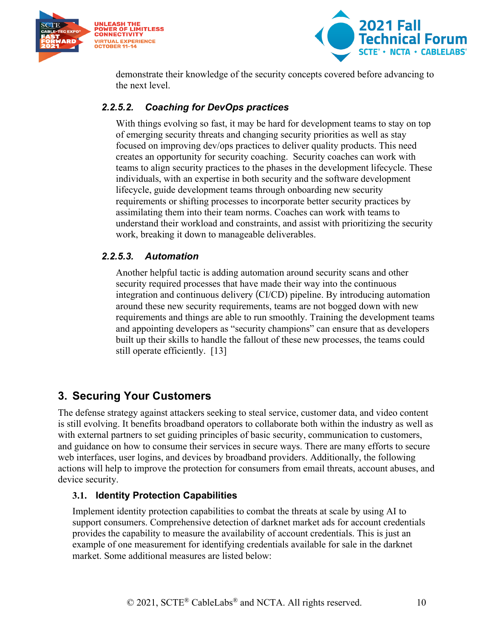



demonstrate their knowledge of the security concepts covered before advancing to the next level.

#### *2.2.5.2. Coaching for DevOps practices*

With things evolving so fast, it may be hard for development teams to stay on top of emerging security threats and changing security priorities as well as stay focused on improving dev/ops practices to deliver quality products. This need creates an opportunity for security coaching. Security coaches can work with teams to align security practices to the phases in the development lifecycle. These individuals, with an expertise in both security and the software development lifecycle, guide development teams through onboarding new security requirements or shifting processes to incorporate better security practices by assimilating them into their team norms. Coaches can work with teams to understand their workload and constraints, and assist with prioritizing the security work, breaking it down to manageable deliverables.

#### *2.2.5.3. Automation*

Another helpful tactic is adding automation around security scans and other security required processes that have made their way into the continuous integration and continuous delivery (CI/CD) pipeline. By introducing automation around these new security requirements, teams are not bogged down with new requirements and things are able to run smoothly. Training the development teams and appointing developers as "security champions" can ensure that as developers built up their skills to handle the fallout of these new processes, the teams could still operate efficiently. [13]

## <span id="page-9-0"></span>**3. Securing Your Customers**

The defense strategy against attackers seeking to steal service, customer data, and video content is still evolving. It benefits broadband operators to collaborate both within the industry as well as with external partners to set guiding principles of basic security, communication to customers, and guidance on how to consume their services in secure ways. There are many efforts to secure web interfaces, user logins, and devices by broadband providers. Additionally, the following actions will help to improve the protection for consumers from email threats, account abuses, and device security.

#### <span id="page-9-1"></span>**3.1. Identity Protection Capabilities**

Implement identity protection capabilities to combat the threats at scale by using AI to support consumers. Comprehensive detection of darknet market ads for account credentials provides the capability to measure the availability of account credentials. This is just an example of one measurement for identifying credentials available for sale in the darknet market. Some additional measures are listed below: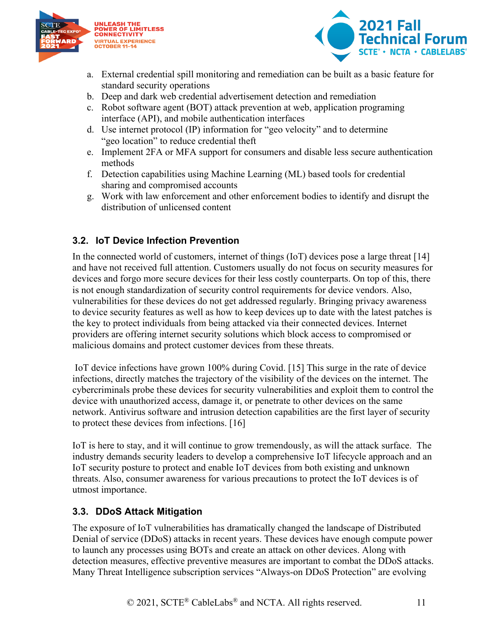



- a. External credential spill monitoring and remediation can be built as a basic feature for standard security operations
- b. Deep and dark web credential advertisement detection and remediation
- c. Robot software agent (BOT) attack prevention at web, application programing interface (API), and mobile authentication interfaces
- d. Use internet protocol (IP) information for "geo velocity" and to determine "geo location" to reduce credential theft
- e. Implement 2FA or MFA support for consumers and disable less secure authentication methods
- f. Detection capabilities using Machine Learning (ML) based tools for credential sharing and compromised accounts
- g. Work with law enforcement and other enforcement bodies to identify and disrupt the distribution of unlicensed content

#### <span id="page-10-0"></span>**3.2. IoT Device Infection Prevention**

In the connected world of customers, internet of things (IoT) devices pose a large threat [14] and have not received full attention. Customers usually do not focus on security measures for devices and forgo more secure devices for their less costly counterparts. On top of this, there is not enough standardization of security control requirements for device vendors. Also, vulnerabilities for these devices do not get addressed regularly. Bringing privacy awareness to device security features as well as how to keep devices up to date with the latest patches is the key to protect individuals from being attacked via their connected devices. Internet providers are offering internet security solutions which block access to compromised or malicious domains and protect customer devices from these threats.

IoT device infections have grown 100% during Covid. [15] This surge in the rate of device infections, directly matches the trajectory of the visibility of the devices on the internet. The cybercriminals probe these devices for security vulnerabilities and exploit them to control the device with unauthorized access, damage it, or penetrate to other devices on the same network. Antivirus software and intrusion detection capabilities are the first layer of security to protect these devices from infections. [16]

IoT is here to stay, and it will continue to grow tremendously, as will the attack surface. The industry demands security leaders to develop a comprehensive IoT lifecycle approach and an IoT security posture to protect and enable IoT devices from both existing and unknown threats. Also, consumer awareness for various precautions to protect the IoT devices is of utmost importance.

#### <span id="page-10-1"></span>**3.3. DDoS Attack Mitigation**

The exposure of IoT vulnerabilities has dramatically changed the landscape of Distributed Denial of service (DDoS) attacks in recent years. These devices have enough compute power to launch any processes using BOTs and create an attack on other devices. Along with detection measures, effective preventive measures are important to combat the DDoS attacks. Many Threat Intelligence subscription services "Always-on DDoS Protection" are evolving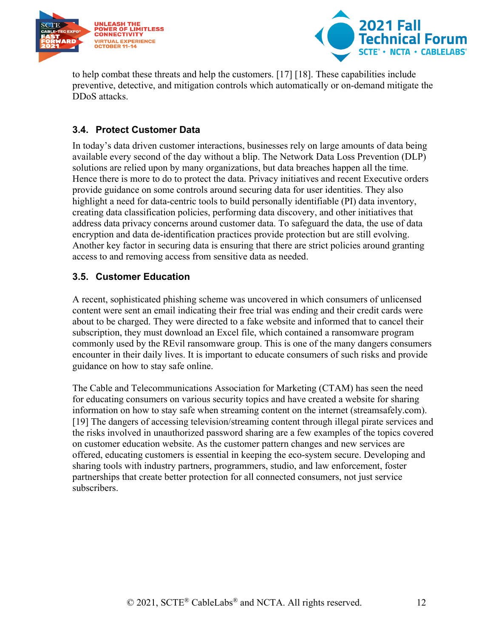



to help combat these threats and help the customers. [17] [18]. These capabilities include preventive, detective, and mitigation controls which automatically or on-demand mitigate the DDoS attacks.

#### <span id="page-11-0"></span>**3.4. Protect Customer Data**

In today's data driven customer interactions, businesses rely on large amounts of data being available every second of the day without a blip. The Network Data Loss Prevention (DLP) solutions are relied upon by many organizations, but data breaches happen all the time. Hence there is more to do to protect the data. Privacy initiatives and recent Executive orders provide guidance on some controls around securing data for user identities. They also highlight a need for data-centric tools to build personally identifiable (PI) data inventory, creating data classification policies, performing data discovery, and other initiatives that address data privacy concerns around customer data. To safeguard the data, the use of data encryption and data de-identification practices provide protection but are still evolving. Another key factor in securing data is ensuring that there are strict policies around granting access to and removing access from sensitive data as needed.

#### <span id="page-11-1"></span>**3.5. Customer Education**

A recent, sophisticated phishing scheme was uncovered in which consumers of unlicensed content were sent an email indicating their free trial was ending and their credit cards were about to be charged. They were directed to a fake website and informed that to cancel their subscription, they must download an Excel file, which contained a ransomware program commonly used by the REvil ransomware group. This is one of the many dangers consumers encounter in their daily lives. It is important to educate consumers of such risks and provide guidance on how to stay safe online.

The Cable and Telecommunications Association for Marketing (CTAM) has seen the need for educating consumers on various security topics and have created a website for sharing information on how to stay safe when streaming content on the internet (streamsafely.com). [19] The dangers of accessing television/streaming content through illegal pirate services and the risks involved in unauthorized password sharing are a few examples of the topics covered on customer education website. As the customer pattern changes and new services are offered, educating customers is essential in keeping the eco-system secure. Developing and sharing tools with industry partners, programmers, studio, and law enforcement, foster partnerships that create better protection for all connected consumers, not just service subscribers.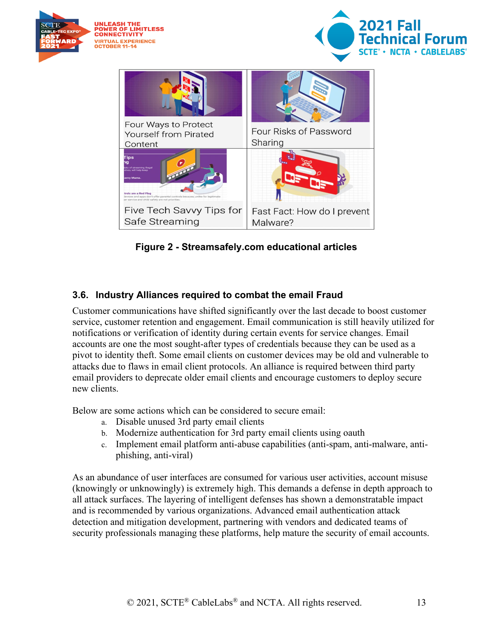

**Figure 2 - Streamsafely.com educational articles**

#### <span id="page-12-1"></span><span id="page-12-0"></span>**3.6. Industry Alliances required to combat the email Fraud**

Customer communications have shifted significantly over the last decade to boost customer service, customer retention and engagement. Email communication is still heavily utilized for notifications or verification of identity during certain events for service changes. Email accounts are one the most sought-after types of credentials because they can be used as a pivot to identity theft. Some email clients on customer devices may be old and vulnerable to attacks due to flaws in email client protocols. An alliance is required between third party email providers to deprecate older email clients and encourage customers to deploy secure new clients.

Below are some actions which can be considered to secure email:

- a. Disable unused 3rd party email clients
- b. Modernize authentication for 3rd party email clients using oauth
- c. Implement email platform anti-abuse capabilities (anti-spam, anti-malware, antiphishing, anti-viral)

As an abundance of user interfaces are consumed for various user activities, account misuse (knowingly or unknowingly) is extremely high. This demands a defense in depth approach to all attack surfaces. The layering of intelligent defenses has shown a demonstratable impact and is recommended by various organizations. Advanced email authentication attack detection and mitigation development, partnering with vendors and dedicated teams of security professionals managing these platforms, help mature the security of email accounts.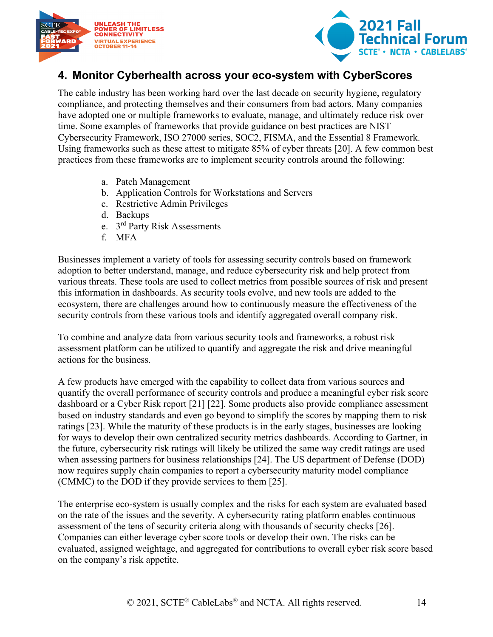



## <span id="page-13-0"></span>**4. Monitor Cyberhealth across your eco-system with CyberScores**

The cable industry has been working hard over the last decade on security hygiene, regulatory compliance, and protecting themselves and their consumers from bad actors. Many companies have adopted one or multiple frameworks to evaluate, manage, and ultimately reduce risk over time. Some examples of frameworks that provide guidance on best practices are NIST Cybersecurity Framework, ISO 27000 series, SOC2, FISMA, and the Essential 8 Framework. Using frameworks such as these attest to mitigate 85% of cyber threats [20]. A few common best practices from these frameworks are to implement security controls around the following:

- a. Patch Management
- b. Application Controls for Workstations and Servers
- c. Restrictive Admin Privileges
- d. Backups
- e. 3rd Party Risk Assessments
- f. MFA

Businesses implement a variety of tools for assessing security controls based on framework adoption to better understand, manage, and reduce cybersecurity risk and help protect from various threats. These tools are used to collect metrics from possible sources of risk and present this information in dashboards. As security tools evolve, and new tools are added to the ecosystem, there are challenges around how to continuously measure the effectiveness of the security controls from these various tools and identify aggregated overall company risk.

To combine and analyze data from various security tools and frameworks, a robust risk assessment platform can be utilized to quantify and aggregate the risk and drive meaningful actions for the business.

A few products have emerged with the capability to collect data from various sources and quantify the overall performance of security controls and produce a meaningful cyber risk score dashboard or a Cyber Risk report [21] [22]. Some products also provide compliance assessment based on industry standards and even go beyond to simplify the scores by mapping them to risk ratings [23]. While the maturity of these products is in the early stages, businesses are looking for ways to develop their own centralized security metrics dashboards. According to Gartner, in the future, cybersecurity risk ratings will likely be utilized the same way credit ratings are used when assessing partners for business relationships [24]. The US department of Defense (DOD) now requires supply chain companies to report a cybersecurity maturity model compliance (CMMC) to the DOD if they provide services to them [25].

The enterprise eco-system is usually complex and the risks for each system are evaluated based on the rate of the issues and the severity. A cybersecurity rating platform enables continuous assessment of the tens of security criteria along with thousands of security checks [26]. Companies can either leverage cyber score tools or develop their own. The risks can be evaluated, assigned weightage, and aggregated for contributions to overall cyber risk score based on the company's risk appetite.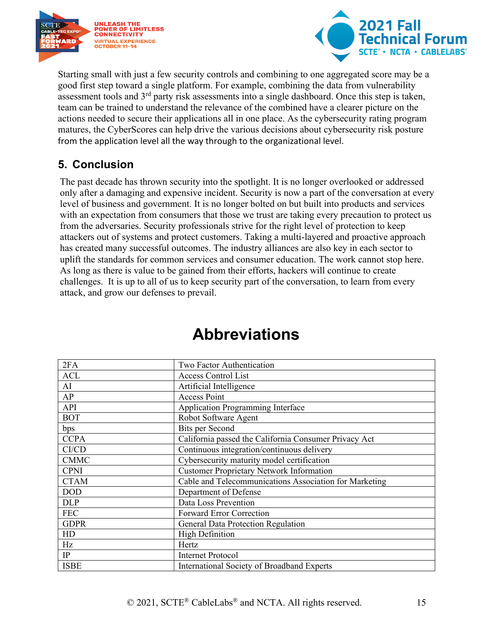



Starting small with just a few security controls and combining to one aggregated score may be a good first step toward a single platform. For example, combining the data from vulnerability assessment tools and 3<sup>rd</sup> party risk assessments into a single dashboard. Once this step is taken, team can be trained to understand the relevance of the combined have a clearer picture on the actions needed to secure their applications all in one place. As the cybersecurity rating program matures, the CyberScores can help drive the various decisions about cybersecurity risk posture from the application level all the way through to the organizational level.

### <span id="page-14-0"></span>**5. Conclusion**

The past decade has thrown security into the spotlight. It is no longer overlooked or addressed only after a damaging and expensive incident. Security is now a part of the conversation at every level of business and government. It is no longer bolted on but built into products and services with an expectation from consumers that those we trust are taking every precaution to protect us from the adversaries. Security professionals strive for the right level of protection to keep attackers out of systems and protect customers. Taking a multi-layered and proactive approach has created many successful outcomes. The industry alliances are also key in each sector to uplift the standards for common services and consumer education. The work cannot stop here. As long as there is value to be gained from their efforts, hackers will continue to create challenges. It is up to all of us to keep security part of the conversation, to learn from every attack, and grow our defenses to prevail.

<span id="page-14-1"></span>

| 2FA         | Two Factor Authentication                              |
|-------------|--------------------------------------------------------|
| <b>ACL</b>  | <b>Access Control List</b>                             |
| AI          | Artificial Intelligence                                |
| AP          | <b>Access Point</b>                                    |
| <b>API</b>  | <b>Application Programming Interface</b>               |
| <b>BOT</b>  | Robot Software Agent                                   |
| bps         | <b>Bits per Second</b>                                 |
| <b>CCPA</b> | California passed the California Consumer Privacy Act  |
| CI/CD       | Continuous integration/continuous delivery             |
| <b>CMMC</b> | Cybersecurity maturity model certification             |
| <b>CPNI</b> | <b>Customer Proprietary Network Information</b>        |
| <b>CTAM</b> | Cable and Telecommunications Association for Marketing |
| <b>DOD</b>  | Department of Defense                                  |
| <b>DLP</b>  | Data Loss Prevention                                   |
| <b>FEC</b>  | <b>Forward Error Correction</b>                        |
| <b>GDPR</b> | General Data Protection Regulation                     |
| HD          | <b>High Definition</b>                                 |
| Hz          | Hertz                                                  |
| IP          | <b>Internet Protocol</b>                               |
| <b>ISBE</b> | International Society of Broadband Experts             |

## **Abbreviations**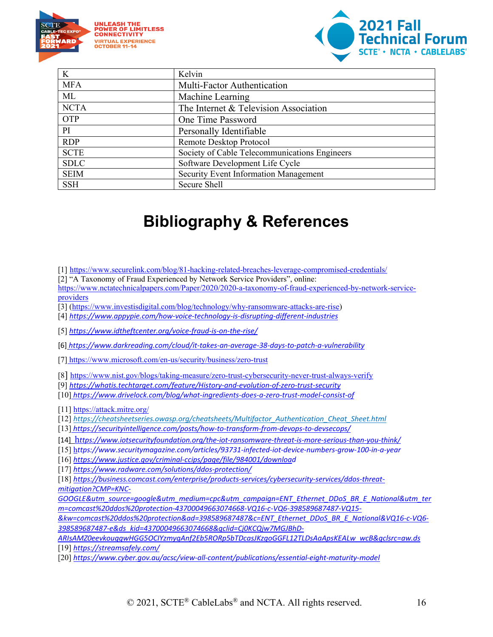



| K           | Kelvin                                        |
|-------------|-----------------------------------------------|
| <b>MFA</b>  | Multi-Factor Authentication                   |
| ML          | Machine Learning                              |
| <b>NCTA</b> | The Internet & Television Association         |
| OTP         | One Time Password                             |
| PI          | Personally Identifiable                       |
| <b>RDP</b>  | Remote Desktop Protocol                       |
| <b>SCTE</b> | Society of Cable Telecommunications Engineers |
| <b>SDLC</b> | Software Development Life Cycle               |
| <b>SEIM</b> | <b>Security Event Information Management</b>  |
| <b>SSH</b>  | Secure Shell                                  |

# **Bibliography & References**

<span id="page-15-0"></span>[1] https://www.securelink.com/blog/81-hacking-related-breaches-leverage-compromised-credentials/

[2] "A Taxonomy of Fraud Experienced by Network Service Providers", online:

[https://www.nctatechnicalpapers.com/Paper/2020/2020-a-taxonomy-of-fraud-experienced-by-network-service](https://www.nctatechnicalpapers.com/Paper/2020/2020-a-taxonomy-of-fraud-experienced-by-network-service-providers)[providers](https://www.nctatechnicalpapers.com/Paper/2020/2020-a-taxonomy-of-fraud-experienced-by-network-service-providers)

[3] [\(https://www.investisdigital.com/blog/technology/why-ransomware-attacks-are-rise\)](https://www.investisdigital.com/blog/technology/why-ransomware-attacks-are-rise)

[4] *<https://www.appypie.com/how-voice-technology-is-disrupting-different-industries>*

[5] *<https://www.idtheftcenter.org/voice-fraud-is-on-the-rise/>*

[6] *https://www.darkreading.com/cloud/it-takes-an-average-38-days-to-patch-a-vulnerability*

[7] https://www.microsoft.com/en-us/security/business/zero-trust

[8]<https://www.nist.gov/blogs/taking-measure/zero-trust-cybersecurity-never-trust-always-verify>

- [9] *<https://whatis.techtarget.com/feature/History-and-evolution-of-zero-trust-security>*
- [10] *<https://www.drivelock.com/blog/what-ingredients-does-a-zero-trust-model-consist-of>*

[11]<https://attack.mitre.org/>

[12] *[https://cheatsheetseries.owasp.org/cheatsheets/Multifactor\\_Authentication\\_Cheat\\_Sheet.html](https://cheatsheetseries.owasp.org/cheatsheets/Multifactor_Authentication_Cheat_Sheet.html)*

[13] *<https://securityintelligence.com/posts/how-to-transform-from-devops-to-devsecops/>*

[14] h*[ttps://www.iotsecurityfoundation.org/the-iot-ransomware-threat-is-more-serious-than-you-think/](https://www.iotsecurityfoundation.org/the-iot-ransomware-threat-is-more-serious-than-you-think/)*

[15] h*[ttps://www.securitymagazine.com/articles/93731-infected-iot-device-numbers-grow-100-in-a-year](https://www.securitymagazine.com/articles/93731-infected-iot-device-numbers-grow-100-in-a-year)*

[16] *[https://www.justice.gov/criminal-ccips/page/file/984001/download](https://www.justice.gov/criminal-ccips/page/file/984001/downloa)*

[17] *<https://www.radware.com/solutions/ddos-protection/>*

[18] *[https://business.comcast.com/enterprise/products-services/cybersecurity-services/ddos-threat](https://business.comcast.com/enterprise/products-services/cybersecurity-services/ddos-threat-mitigation?CMP=KNC-GOOGLE&utm_source=google&utm_medium=cpc&utm_campaign=ENT_Ethernet_DDoS_BR_E_National&utm_term=comcast%20ddos%20protection-43700049663074668-VQ16-c-VQ6-398589687487-VQ15-&kw=comcast%20ddos%20protection&ad=398589687487&c=ENT_Ethernet_DDoS_BR_E_National&VQ16-c-VQ6-398589687487-e&ds_kid=43700049663074668&gclid=Cj0KCQjw7MGJBhD-ARIsAMZ0eevkouggwHGG5OCIYzmygAnf2Eb5RORp5bTDcasJKzgoGGFL12TLDsAaApsKEALw_wcB&gclsrc=aw.ds)[mitigation?CMP=KNC-](https://business.comcast.com/enterprise/products-services/cybersecurity-services/ddos-threat-mitigation?CMP=KNC-GOOGLE&utm_source=google&utm_medium=cpc&utm_campaign=ENT_Ethernet_DDoS_BR_E_National&utm_term=comcast%20ddos%20protection-43700049663074668-VQ16-c-VQ6-398589687487-VQ15-&kw=comcast%20ddos%20protection&ad=398589687487&c=ENT_Ethernet_DDoS_BR_E_National&VQ16-c-VQ6-398589687487-e&ds_kid=43700049663074668&gclid=Cj0KCQjw7MGJBhD-ARIsAMZ0eevkouggwHGG5OCIYzmygAnf2Eb5RORp5bTDcasJKzgoGGFL12TLDsAaApsKEALw_wcB&gclsrc=aw.ds)*

*[GOOGLE&utm\\_source=google&utm\\_medium=cpc&utm\\_campaign=ENT\\_Ethernet\\_DDoS\\_BR\\_E\\_National&utm\\_ter](https://business.comcast.com/enterprise/products-services/cybersecurity-services/ddos-threat-mitigation?CMP=KNC-GOOGLE&utm_source=google&utm_medium=cpc&utm_campaign=ENT_Ethernet_DDoS_BR_E_National&utm_term=comcast%20ddos%20protection-43700049663074668-VQ16-c-VQ6-398589687487-VQ15-&kw=comcast%20ddos%20protection&ad=398589687487&c=ENT_Ethernet_DDoS_BR_E_National&VQ16-c-VQ6-398589687487-e&ds_kid=43700049663074668&gclid=Cj0KCQjw7MGJBhD-ARIsAMZ0eevkouggwHGG5OCIYzmygAnf2Eb5RORp5bTDcasJKzgoGGFL12TLDsAaApsKEALw_wcB&gclsrc=aw.ds) [m=comcast%20ddos%20protection-43700049663074668-VQ16-c-VQ6-398589687487-VQ15-](https://business.comcast.com/enterprise/products-services/cybersecurity-services/ddos-threat-mitigation?CMP=KNC-GOOGLE&utm_source=google&utm_medium=cpc&utm_campaign=ENT_Ethernet_DDoS_BR_E_National&utm_term=comcast%20ddos%20protection-43700049663074668-VQ16-c-VQ6-398589687487-VQ15-&kw=comcast%20ddos%20protection&ad=398589687487&c=ENT_Ethernet_DDoS_BR_E_National&VQ16-c-VQ6-398589687487-e&ds_kid=43700049663074668&gclid=Cj0KCQjw7MGJBhD-ARIsAMZ0eevkouggwHGG5OCIYzmygAnf2Eb5RORp5bTDcasJKzgoGGFL12TLDsAaApsKEALw_wcB&gclsrc=aw.ds)*

*[&kw=comcast%20ddos%20protection&ad=398589687487&c=ENT\\_Ethernet\\_DDoS\\_BR\\_E\\_National&VQ16-c-VQ6-](https://business.comcast.com/enterprise/products-services/cybersecurity-services/ddos-threat-mitigation?CMP=KNC-GOOGLE&utm_source=google&utm_medium=cpc&utm_campaign=ENT_Ethernet_DDoS_BR_E_National&utm_term=comcast%20ddos%20protection-43700049663074668-VQ16-c-VQ6-398589687487-VQ15-&kw=comcast%20ddos%20protection&ad=398589687487&c=ENT_Ethernet_DDoS_BR_E_National&VQ16-c-VQ6-398589687487-e&ds_kid=43700049663074668&gclid=Cj0KCQjw7MGJBhD-ARIsAMZ0eevkouggwHGG5OCIYzmygAnf2Eb5RORp5bTDcasJKzgoGGFL12TLDsAaApsKEALw_wcB&gclsrc=aw.ds) [398589687487-e&ds\\_kid=43700049663074668&gclid=Cj0KCQjw7MGJBhD-](https://business.comcast.com/enterprise/products-services/cybersecurity-services/ddos-threat-mitigation?CMP=KNC-GOOGLE&utm_source=google&utm_medium=cpc&utm_campaign=ENT_Ethernet_DDoS_BR_E_National&utm_term=comcast%20ddos%20protection-43700049663074668-VQ16-c-VQ6-398589687487-VQ15-&kw=comcast%20ddos%20protection&ad=398589687487&c=ENT_Ethernet_DDoS_BR_E_National&VQ16-c-VQ6-398589687487-e&ds_kid=43700049663074668&gclid=Cj0KCQjw7MGJBhD-ARIsAMZ0eevkouggwHGG5OCIYzmygAnf2Eb5RORp5bTDcasJKzgoGGFL12TLDsAaApsKEALw_wcB&gclsrc=aw.ds)*

*[ARIsAMZ0eevkouggwHGG5OCIYzmygAnf2Eb5RORp5bTDcasJKzgoGGFL12TLDsAaApsKEALw\\_wcB&gclsrc=aw.ds](https://business.comcast.com/enterprise/products-services/cybersecurity-services/ddos-threat-mitigation?CMP=KNC-GOOGLE&utm_source=google&utm_medium=cpc&utm_campaign=ENT_Ethernet_DDoS_BR_E_National&utm_term=comcast%20ddos%20protection-43700049663074668-VQ16-c-VQ6-398589687487-VQ15-&kw=comcast%20ddos%20protection&ad=398589687487&c=ENT_Ethernet_DDoS_BR_E_National&VQ16-c-VQ6-398589687487-e&ds_kid=43700049663074668&gclid=Cj0KCQjw7MGJBhD-ARIsAMZ0eevkouggwHGG5OCIYzmygAnf2Eb5RORp5bTDcasJKzgoGGFL12TLDsAaApsKEALw_wcB&gclsrc=aw.ds)* [19] *<https://streamsafely.com/>*

[20] *<https://www.cyber.gov.au/acsc/view-all-content/publications/essential-eight-maturity-model>*